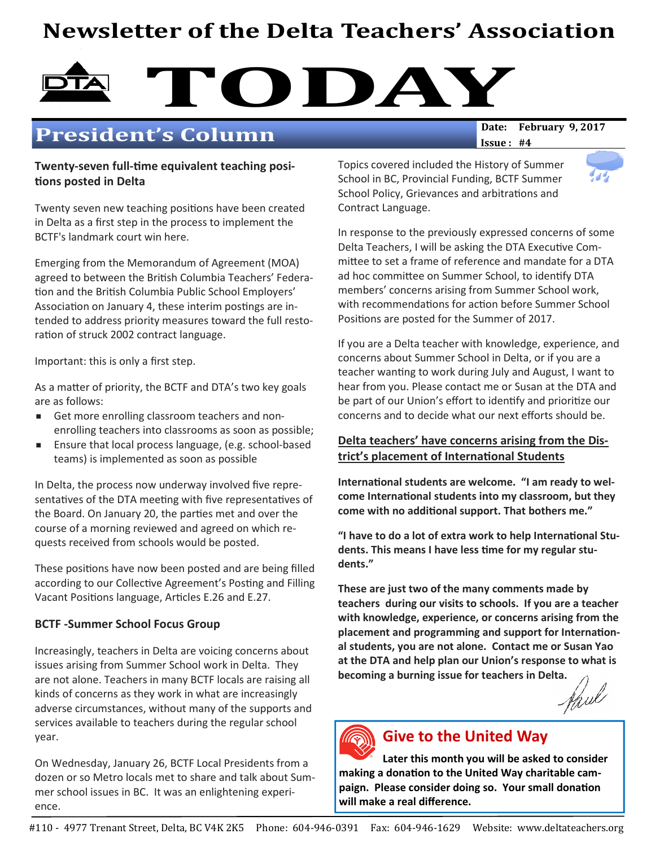## Newsletter of the Delta Teachers' Association

# DAY DATE: February 9, 2017

## **President's Column**

Twenty-seven full-time equivalent teaching positions posted in Delta

Twenty seven new teaching positions have been created in Delta as a first step in the process to implement the BCTF's landmark court win here.

Emerging from the Memorandum of Agreement (MOA) agreed to between the British Columbia Teachers' Federation and the British Columbia Public School Employers' Association on January 4, these interim postings are intended to address priority measures toward the full restoration of struck 2002 contract language.

Important: this is only a first step.

As a matter of priority, the BCTF and DTA's two key goals are as follows:

- Get more enrolling classroom teachers and nonenrolling teachers into classrooms as soon as possible;
- Ensure that local process language, (e.g. school-based teams) is implemented as soon as possible

In Delta, the process now underway involved five representatives of the DTA meeting with five representatives of the Board. On January 20, the parties met and over the course of a morning reviewed and agreed on which requests received from schools would be posted.

These positions have now been posted and are being filled according to our Collective Agreement's Posting and Filling Vacant Positions language, Articles E.26 and E.27.

#### BCTF -Summer School Focus Group

Increasingly, teachers in Delta are voicing concerns about issues arising from Summer School work in Delta. They are not alone. Teachers in many BCTF locals are raising all kinds of concerns as they work in what are increasingly adverse circumstances, without many of the supports and services available to teachers during the regular school year.

On Wednesday, January 26, BCTF Local Presidents from a dozen or so Metro locals met to share and talk about Summer school issues in BC. It was an enlightening experience.

 $Issue: #4$ 

Topics covered included the History of Summer School in BC, Provincial Funding, BCTF Summer School Policy, Grievances and arbitrations and Contract Language.

In response to the previously expressed concerns of some Delta Teachers, I will be asking the DTA Executive Committee to set a frame of reference and mandate for a DTA ad hoc committee on Summer School, to identify DTA members' concerns arising from Summer School work, with recommendations for action before Summer School Positions are posted for the Summer of 2017.

If you are a Delta teacher with knowledge, experience, and concerns about Summer School in Delta, or if you are a teacher wanting to work during July and August, I want to hear from you. Please contact me or Susan at the DTA and be part of our Union's effort to identify and prioritize our concerns and to decide what our next efforts should be.

#### Delta teachers' have concerns arising from the District's placement of International Students

International students are welcome. "I am ready to welcome International students into my classroom, but they come with no additional support. That bothers me."

"I have to do a lot of extra work to help International Students. This means I have less time for my regular students."

These are just two of the many comments made by teachers during our visits to schools. If you are a teacher with knowledge, experience, or concerns arising from the placement and programming and support for International students, you are not alone. Contact me or Susan Yao at the DTA and help plan our Union's response to what is becoming a burning issue for teachers in Delta.<br>An uk





## Give to the United Way

Later this month you will be asked to consider making a donation to the United Way charitable campaign. Please consider doing so. Your small donation will make a real difference.